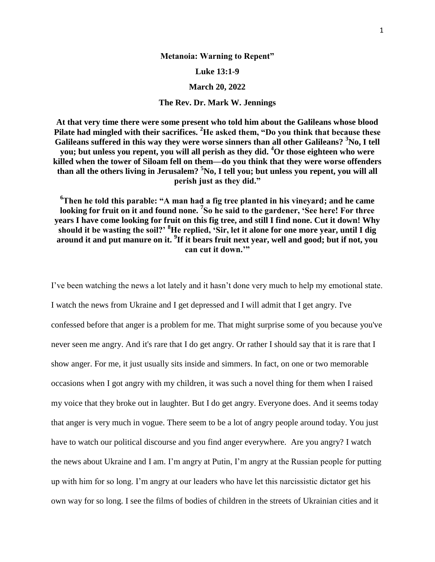## **Metanoia: Warning to Repent"**

## **Luke 13:1-9**

## **March 20, 2022**

## **The Rev. Dr. Mark W. Jennings**

**At that very time there were some present who told him about the Galileans whose blood Pilate had mingled with their sacrifices. <sup>2</sup>He asked them, "Do you think that because these Galileans suffered in this way they were worse sinners than all other Galileans? <sup>3</sup>No, I tell you; but unless you repent, you will all perish as they did. <sup>4</sup>Or those eighteen who were killed when the tower of Siloam fell on them—do you think that they were worse offenders than all the others living in Jerusalem? <sup>5</sup>No, I tell you; but unless you repent, you will all perish just as they did."**

**<sup>6</sup>Then he told this parable: "A man had a fig tree planted in his vineyard; and he came**  looking for fruit on it and found none. <sup>7</sup>So he said to the gardener, 'See here! For three **years I have come looking for fruit on this fig tree, and still I find none. Cut it down! Why should it be wasting the soil?' <sup>8</sup>He replied, 'Sir, let it alone for one more year, until I dig around it and put manure on it. <sup>9</sup> If it bears fruit next year, well and good; but if not, you can cut it down.'"**

I've been watching the news a lot lately and it hasn't done very much to help my emotional state. I watch the news from Ukraine and I get depressed and I will admit that I get angry. I've confessed before that anger is a problem for me. That might surprise some of you because you've never seen me angry. And it's rare that I do get angry. Or rather I should say that it is rare that I show anger. For me, it just usually sits inside and simmers. In fact, on one or two memorable occasions when I got angry with my children, it was such a novel thing for them when I raised my voice that they broke out in laughter. But I do get angry. Everyone does. And it seems today that anger is very much in vogue. There seem to be a lot of angry people around today. You just have to watch our political discourse and you find anger everywhere. Are you angry? I watch the news about Ukraine and I am. I'm angry at Putin, I'm angry at the Russian people for putting up with him for so long. I'm angry at our leaders who have let this narcissistic dictator get his own way for so long. I see the films of bodies of children in the streets of Ukrainian cities and it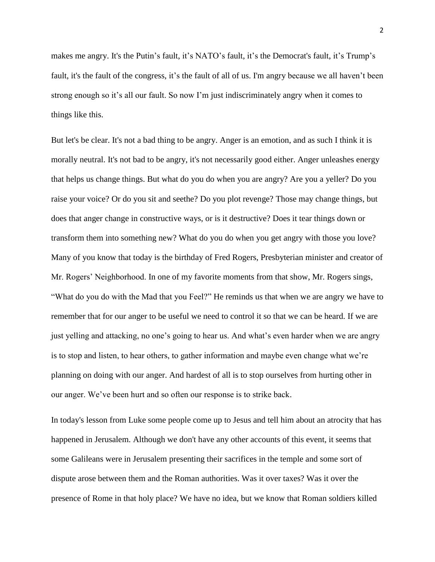makes me angry. It's the Putin's fault, it's NATO's fault, it's the Democrat's fault, it's Trump's fault, it's the fault of the congress, it's the fault of all of us. I'm angry because we all haven't been strong enough so it's all our fault. So now I'm just indiscriminately angry when it comes to things like this.

But let's be clear. It's not a bad thing to be angry. Anger is an emotion, and as such I think it is morally neutral. It's not bad to be angry, it's not necessarily good either. Anger unleashes energy that helps us change things. But what do you do when you are angry? Are you a yeller? Do you raise your voice? Or do you sit and seethe? Do you plot revenge? Those may change things, but does that anger change in constructive ways, or is it destructive? Does it tear things down or transform them into something new? What do you do when you get angry with those you love? Many of you know that today is the birthday of Fred Rogers, Presbyterian minister and creator of Mr. Rogers' Neighborhood. In one of my favorite moments from that show, Mr. Rogers sings, "What do you do with the Mad that you Feel?" He reminds us that when we are angry we have to remember that for our anger to be useful we need to control it so that we can be heard. If we are just yelling and attacking, no one's going to hear us. And what's even harder when we are angry is to stop and listen, to hear others, to gather information and maybe even change what we're planning on doing with our anger. And hardest of all is to stop ourselves from hurting other in our anger. We've been hurt and so often our response is to strike back.

In today's lesson from Luke some people come up to Jesus and tell him about an atrocity that has happened in Jerusalem. Although we don't have any other accounts of this event, it seems that some Galileans were in Jerusalem presenting their sacrifices in the temple and some sort of dispute arose between them and the Roman authorities. Was it over taxes? Was it over the presence of Rome in that holy place? We have no idea, but we know that Roman soldiers killed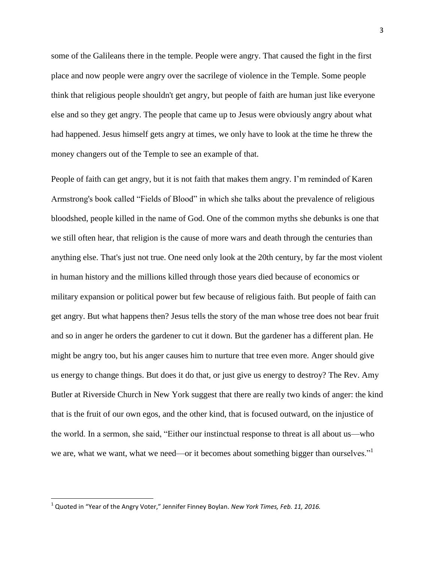some of the Galileans there in the temple. People were angry. That caused the fight in the first place and now people were angry over the sacrilege of violence in the Temple. Some people think that religious people shouldn't get angry, but people of faith are human just like everyone else and so they get angry. The people that came up to Jesus were obviously angry about what had happened. Jesus himself gets angry at times, we only have to look at the time he threw the money changers out of the Temple to see an example of that.

People of faith can get angry, but it is not faith that makes them angry. I'm reminded of Karen Armstrong's book called "Fields of Blood" in which she talks about the prevalence of religious bloodshed, people killed in the name of God. One of the common myths she debunks is one that we still often hear, that religion is the cause of more wars and death through the centuries than anything else. That's just not true. One need only look at the 20th century, by far the most violent in human history and the millions killed through those years died because of economics or military expansion or political power but few because of religious faith. But people of faith can get angry. But what happens then? Jesus tells the story of the man whose tree does not bear fruit and so in anger he orders the gardener to cut it down. But the gardener has a different plan. He might be angry too, but his anger causes him to nurture that tree even more. Anger should give us energy to change things. But does it do that, or just give us energy to destroy? The Rev. Amy Butler at Riverside Church in New York suggest that there are really two kinds of anger: the kind that is the fruit of our own egos, and the other kind, that is focused outward, on the injustice of the world. In a sermon, she said, "Either our instinctual response to threat is all about us—who we are, what we want, what we need—or it becomes about something bigger than ourselves."

 $\overline{\phantom{a}}$ 

<sup>1</sup> Quoted in "Year of the Angry Voter," Jennifer Finney Boylan. *New York Times, Feb. 11, 2016.*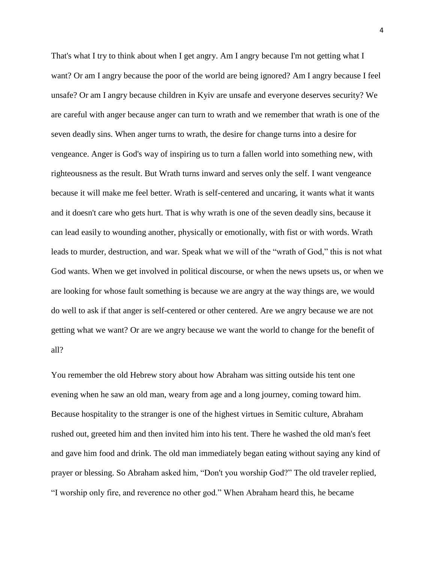That's what I try to think about when I get angry. Am I angry because I'm not getting what I want? Or am I angry because the poor of the world are being ignored? Am I angry because I feel unsafe? Or am I angry because children in Kyiv are unsafe and everyone deserves security? We are careful with anger because anger can turn to wrath and we remember that wrath is one of the seven deadly sins. When anger turns to wrath, the desire for change turns into a desire for vengeance. Anger is God's way of inspiring us to turn a fallen world into something new, with righteousness as the result. But Wrath turns inward and serves only the self. I want vengeance because it will make me feel better. Wrath is self-centered and uncaring, it wants what it wants and it doesn't care who gets hurt. That is why wrath is one of the seven deadly sins, because it can lead easily to wounding another, physically or emotionally, with fist or with words. Wrath leads to murder, destruction, and war. Speak what we will of the "wrath of God," this is not what God wants. When we get involved in political discourse, or when the news upsets us, or when we are looking for whose fault something is because we are angry at the way things are, we would do well to ask if that anger is self-centered or other centered. Are we angry because we are not getting what we want? Or are we angry because we want the world to change for the benefit of all?

You remember the old Hebrew story about how Abraham was sitting outside his tent one evening when he saw an old man, weary from age and a long journey, coming toward him. Because hospitality to the stranger is one of the highest virtues in Semitic culture, Abraham rushed out, greeted him and then invited him into his tent. There he washed the old man's feet and gave him food and drink. The old man immediately began eating without saying any kind of prayer or blessing. So Abraham asked him, "Don't you worship God?" The old traveler replied, "I worship only fire, and reverence no other god." When Abraham heard this, he became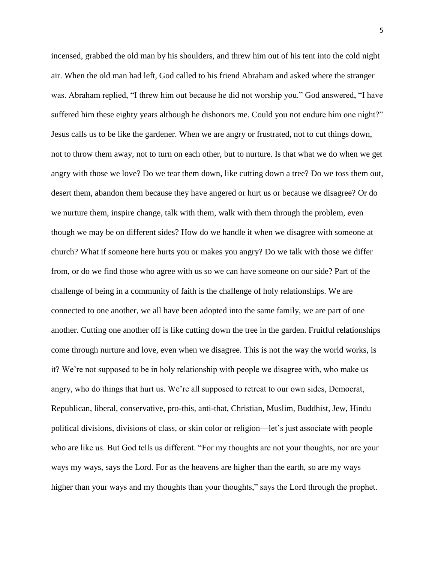incensed, grabbed the old man by his shoulders, and threw him out of his tent into the cold night air. When the old man had left, God called to his friend Abraham and asked where the stranger was. Abraham replied, "I threw him out because he did not worship you." God answered, "I have suffered him these eighty years although he dishonors me. Could you not endure him one night?" Jesus calls us to be like the gardener. When we are angry or frustrated, not to cut things down, not to throw them away, not to turn on each other, but to nurture. Is that what we do when we get angry with those we love? Do we tear them down, like cutting down a tree? Do we toss them out, desert them, abandon them because they have angered or hurt us or because we disagree? Or do we nurture them, inspire change, talk with them, walk with them through the problem, even though we may be on different sides? How do we handle it when we disagree with someone at church? What if someone here hurts you or makes you angry? Do we talk with those we differ from, or do we find those who agree with us so we can have someone on our side? Part of the challenge of being in a community of faith is the challenge of holy relationships. We are connected to one another, we all have been adopted into the same family, we are part of one another. Cutting one another off is like cutting down the tree in the garden. Fruitful relationships come through nurture and love, even when we disagree. This is not the way the world works, is it? We're not supposed to be in holy relationship with people we disagree with, who make us angry, who do things that hurt us. We're all supposed to retreat to our own sides, Democrat, Republican, liberal, conservative, pro-this, anti-that, Christian, Muslim, Buddhist, Jew, Hindu political divisions, divisions of class, or skin color or religion—let's just associate with people who are like us. But God tells us different. "For my thoughts are not your thoughts, nor are your ways my ways, says the Lord. For as the heavens are higher than the earth, so are my ways higher than your ways and my thoughts than your thoughts," says the Lord through the prophet.